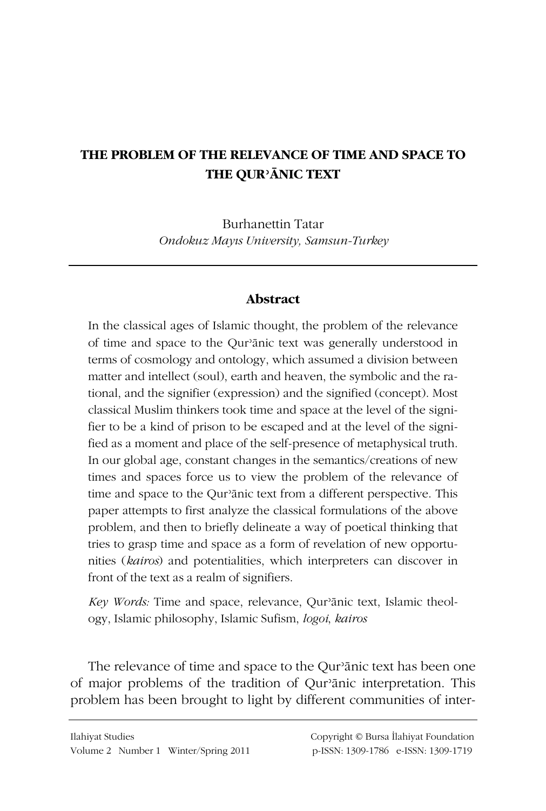## THE PROBLEM OF THE RELEVANCE OF TIME AND SPACE TO THE QUR'ANIC TEXT

**Burhanettin Tatar** Ondokuz Mayıs University, Samsun-Turkey

## **Abstract**

In the classical ages of Islamic thought, the problem of the relevance of time and space to the Qur'ānic text was generally understood in terms of cosmology and ontology, which assumed a division between matter and intellect (soul), earth and heaven, the symbolic and the rational, and the signifier (expression) and the signified (concept). Most classical Muslim thinkers took time and space at the level of the signifier to be a kind of prison to be escaped and at the level of the signified as a moment and place of the self-presence of metaphysical truth. In our global age, constant changes in the semantics/creations of new times and spaces force us to view the problem of the relevance of time and space to the Qur'ānic text from a different perspective. This paper attempts to first analyze the classical formulations of the above problem, and then to briefly delineate a way of poetical thinking that tries to grasp time and space as a form of revelation of new opportunities (kairos) and potentialities, which interpreters can discover in front of the text as a realm of signifiers.

Key Words: Time and space, relevance, Qur'ānic text, Islamic theology, Islamic philosophy, Islamic Sufism, *logoi, kairos* 

The relevance of time and space to the Qur'anic text has been one of major problems of the tradition of Qur'anic interpretation. This problem has been brought to light by different communities of inter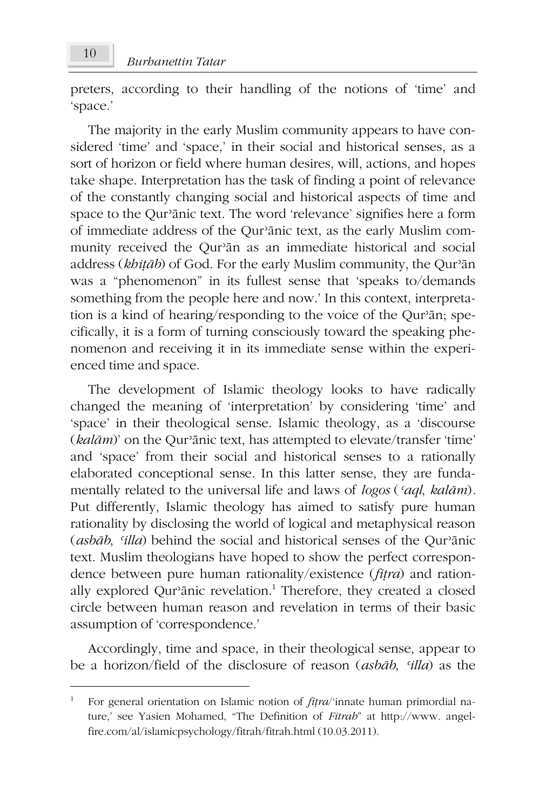preters, according to their handling of the notions of 'time' and 'space.'

The majority in the early Muslim community appears to have considered 'time' and 'space,' in their social and historical senses, as a sort of horizon or field where human desires, will, actions, and hopes take shape. Interpretation has the task of finding a point of relevance of the constantly changing social and historical aspects of time and space to the Qur'anic text. The word 'relevance' signifies here a form of immediate address of the Qur'anic text, as the early Muslim community received the Qur'an as an immediate historical and social address (khitāb) of God. For the early Muslim community, the Qur'an was a "phenomenon" in its fullest sense that 'speaks to/demands something from the people here and now.' In this context, interpretation is a kind of hearing/responding to the voice of the Qur'an; specifically, it is a form of turning consciously toward the speaking phenomenon and receiving it in its immediate sense within the experienced time and space.

The development of Islamic theology looks to have radically changed the meaning of 'interpretation' by considering 'time' and 'space' in their theological sense. Islamic theology, as a 'discourse (kalām)' on the Qur'ānic text, has attempted to elevate/transfer 'time' and 'space' from their social and historical senses to a rationally elaborated conceptional sense. In this latter sense, they are fundamentally related to the universal life and laws of logos ('aql, kalām). Put differently, Islamic theology has aimed to satisfy pure human rationality by disclosing the world of logical and metaphysical reason (asbāb, 'illa) behind the social and historical senses of the Qur'anic text. Muslim theologians have hoped to show the perfect correspondence between pure human rationality/existence (fitra) and rationally explored Qur'anic revelation.<sup>1</sup> Therefore, they created a closed circle between human reason and revelation in terms of their basic assumption of 'correspondence.'

Accordingly, time and space, in their theological sense, appear to be a horizon/field of the disclosure of reason (asbab, 'illa) as the

 $\,1\,$ For general orientation on Islamic notion of *fitra*/'innate human primordial nature,' see Yasien Mohamed, "The Definition of Fitrah" at http://www. angelfire.com/al/islamicpsychology/fitrah/fitrah.html (10.03.2011).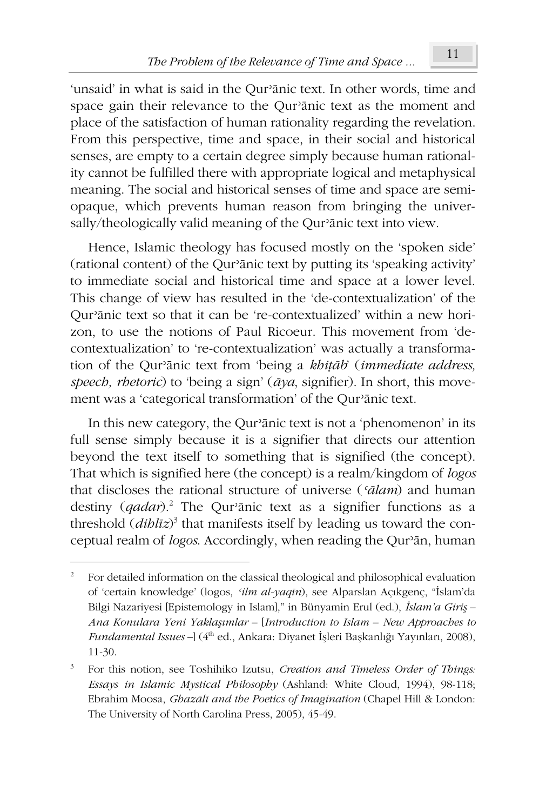'unsaid' in what is said in the Qur'ānic text. In other words, time and space gain their relevance to the Qur'ānic text as the moment and place of the satisfaction of human rationality regarding the revelation. From this perspective, time and space, in their social and historical senses, are empty to a certain degree simply because human rationality cannot be fulfilled there with appropriate logical and metaphysical meaning. The social and historical senses of time and space are semiopaque, which prevents human reason from bringing the universally/theologically valid meaning of the Qur'anic text into view.

Hence, Islamic theology has focused mostly on the 'spoken side' (rational content) of the Qur'anic text by putting its 'speaking activity' to immediate social and historical time and space at a lower level. This change of view has resulted in the 'de-contextualization' of the Qur'anic text so that it can be 're-contextualized' within a new horizon, to use the notions of Paul Ricoeur. This movement from 'decontextualization' to 're-contextualization' was actually a transformation of the Qur'ānic text from 'being a khitāb' (immediate address, speech, rhetoric) to 'being a sign'  $(\bar{a}\gamma a, \text{ significant})$ . In short, this movement was a 'categorical transformation' of the Qur'anic text.

In this new category, the Qur'anic text is not a 'phenomenon' in its full sense simply because it is a signifier that directs our attention beyond the text itself to something that is signified (the concept). That which is signified here (the concept) is a realm/kingdom of *logos* that discloses the rational structure of universe ('ālam) and human destiny  $(qadar)^2$ . The Qur'anic text as a signifier functions as a threshold  $(dibl\bar{z})^3$  that manifests itself by leading us toward the conceptual realm of logos. Accordingly, when reading the Qur'an, human

 $\overline{2}$ For detailed information on the classical theological and philosophical evaluation of 'certain knowledge' (logos, 'ilm al-yaqīn), see Alparslan Açıkgenç, "İslam'da Bilgi Nazariyesi [Epistemology in Islam]," in Bünyamin Erul (ed.), İslam'a Giris – Ana Konulara Yeni Yaklaşımlar - [Introduction to Islam - New Approaches to Fundamental Issues - (4<sup>th</sup> ed., Ankara: Diyanet İşleri Başkanlığı Yayınları, 2008),  $11-30.$ 

 $\mathbf{3}$ For this notion, see Toshihiko Izutsu, Creation and Timeless Order of Things: Essays in Islamic Mystical Philosophy (Ashland: White Cloud, 1994), 98-118; Ebrahim Moosa, Ghazālī and the Poetics of Imagination (Chapel Hill & London: The University of North Carolina Press, 2005), 45-49.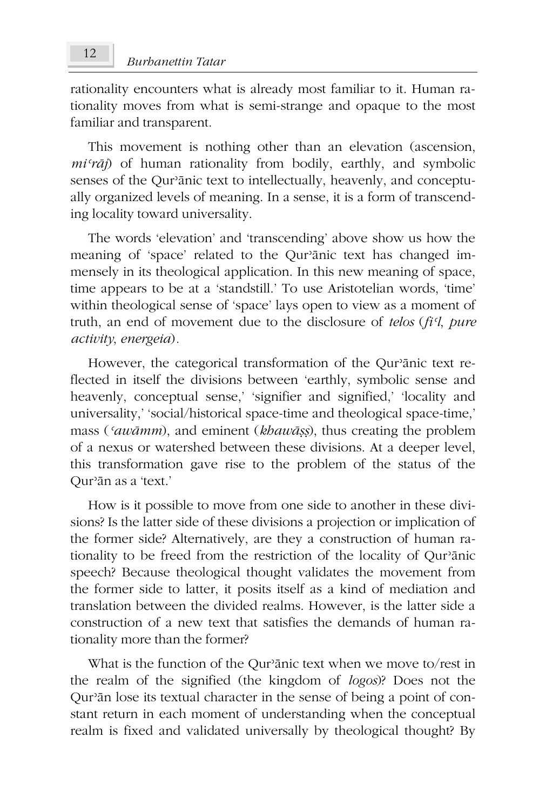rationality encounters what is already most familiar to it. Human rationality moves from what is semi-strange and opaque to the most familiar and transparent.

This movement is nothing other than an elevation (ascension,  $mi' \rceil$  of human rationality from bodily, earthly, and symbolic senses of the Qur'anic text to intellectually, heavenly, and conceptually organized levels of meaning. In a sense, it is a form of transcending locality toward universality.

The words 'elevation' and 'transcending' above show us how the meaning of 'space' related to the Qur'anic text has changed immensely in its theological application. In this new meaning of space, time appears to be at a 'standstill.' To use Aristotelian words, 'time' within theological sense of 'space' lays open to view as a moment of truth, an end of movement due to the disclosure of telos (fi'l, pure activity, energeia).

However, the categorical transformation of the Qur'anic text reflected in itself the divisions between 'earthly, symbolic sense and heavenly, conceptual sense,' 'signifier and signified,' 'locality and universality,' 'social/historical space-time and theological space-time,' mass ('awāmm), and eminent (khawāṣṣ), thus creating the problem of a nexus or watershed between these divisions. At a deeper level, this transformation gave rise to the problem of the status of the Our'ān as a 'text.'

How is it possible to move from one side to another in these divisions? Is the latter side of these divisions a projection or implication of the former side? Alternatively, are they a construction of human rationality to be freed from the restriction of the locality of Qur'anic speech? Because theological thought validates the movement from the former side to latter, it posits itself as a kind of mediation and translation between the divided realms. However, is the latter side a construction of a new text that satisfies the demands of human rationality more than the former?

What is the function of the Qur'anic text when we move to/rest in the realm of the signified (the kingdom of logos)? Does not the Qur'an lose its textual character in the sense of being a point of constant return in each moment of understanding when the conceptual realm is fixed and validated universally by theological thought? By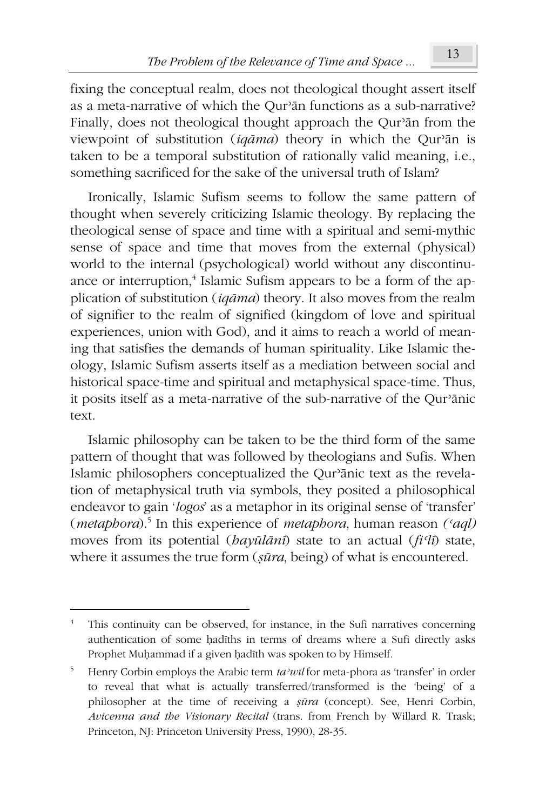fixing the conceptual realm, does not theological thought assert itself as a meta-narrative of which the Our<sup>3</sup>an functions as a sub-narrative? Finally, does not theological thought approach the Qur'an from the viewpoint of substitution (igāma) theory in which the Qur'an is taken to be a temporal substitution of rationally valid meaning, i.e., something sacrificed for the sake of the universal truth of Islam?

Ironically, Islamic Sufism seems to follow the same pattern of thought when severely criticizing Islamic theology. By replacing the theological sense of space and time with a spiritual and semi-mythic sense of space and time that moves from the external (physical) world to the internal (psychological) world without any discontinuance or interruption,<sup>4</sup> Islamic Sufism appears to be a form of the application of substitution  $(iqāma)$  theory. It also moves from the realm of signifier to the realm of signified (kingdom of love and spiritual experiences, union with God), and it aims to reach a world of meaning that satisfies the demands of human spirituality. Like Islamic theology, Islamic Sufism asserts itself as a mediation between social and historical space-time and spiritual and metaphysical space-time. Thus, it posits itself as a meta-narrative of the sub-narrative of the Qur'anic text.

Islamic philosophy can be taken to be the third form of the same pattern of thought that was followed by theologians and Sufis. When Islamic philosophers conceptualized the Qur'ānic text as the revelation of metaphysical truth via symbols, they posited a philosophical endeavor to gain 'logos' as a metaphor in its original sense of 'transfer' (*metaphora*).<sup>5</sup> In this experience of *metaphora*, human reason ('aql) moves from its potential ( $\frac{b}{a}$  $\frac{v}{u}$  $\frac{d}{v}$ ) state to an actual ( $\frac{f}{i'}$ ) state, where it assumes the true form (sūra, being) of what is encountered.

This continuity can be observed, for instance, in the Sufi narratives concerning authentication of some hadiths in terms of dreams where a Sufi directly asks Prophet Muḥammad if a given ḥadīth was spoken to by Himself.

 $\,$  5  $\,$ Henry Corbin employs the Arabic term ta'wil for meta-phora as 'transfer' in order to reveal that what is actually transferred/transformed is the 'being' of a philosopher at the time of receiving a sūra (concept). See, Henri Corbin, Avicenna and the Visionary Recital (trans. from French by Willard R. Trask; Princeton, NJ: Princeton University Press, 1990), 28-35.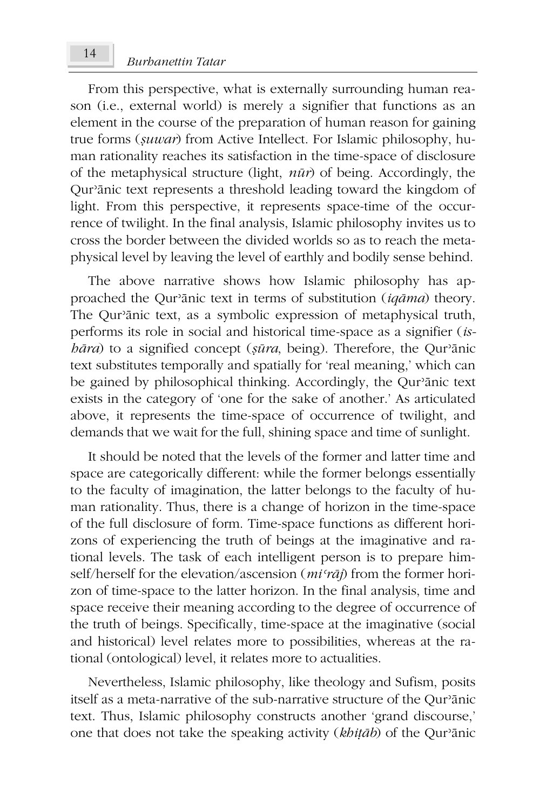From this perspective, what is externally surrounding human reason (i.e., external world) is merely a signifier that functions as an element in the course of the preparation of human reason for gaining true forms (suwar) from Active Intellect. For Islamic philosophy, human rationality reaches its satisfaction in the time-space of disclosure of the metaphysical structure (light,  $n\bar{u}$ ) of being. Accordingly, the Qur'anic text represents a threshold leading toward the kingdom of light. From this perspective, it represents space-time of the occurrence of twilight. In the final analysis, Islamic philosophy invites us to cross the border between the divided worlds so as to reach the metaphysical level by leaving the level of earthly and bodily sense behind.

The above narrative shows how Islamic philosophy has approached the Qur'anic text in terms of substitution (igama) theory. The Qur'ānic text, as a symbolic expression of metaphysical truth, performs its role in social and historical time-space as a signifier (is $b\bar{a}ra$ ) to a signified concept ( $s\bar{u}ra$ , being). Therefore, the Qur'anic text substitutes temporally and spatially for 'real meaning,' which can be gained by philosophical thinking. Accordingly, the Qur'anic text exists in the category of 'one for the sake of another.' As articulated above, it represents the time-space of occurrence of twilight, and demands that we wait for the full, shining space and time of sunlight.

It should be noted that the levels of the former and latter time and space are categorically different: while the former belongs essentially to the faculty of imagination, the latter belongs to the faculty of human rationality. Thus, there is a change of horizon in the time-space of the full disclosure of form. Time-space functions as different horizons of experiencing the truth of beings at the imaginative and rational levels. The task of each intelligent person is to prepare himself/herself for the elevation/ascension  $(mi'\tau\bar{a}j)$  from the former horizon of time-space to the latter horizon. In the final analysis, time and space receive their meaning according to the degree of occurrence of the truth of beings. Specifically, time-space at the imaginative (social and historical) level relates more to possibilities, whereas at the rational (ontological) level, it relates more to actualities.

Nevertheless, Islamic philosophy, like theology and Sufism, posits itself as a meta-narrative of the sub-narrative structure of the Qur'ānic text. Thus, Islamic philosophy constructs another 'grand discourse,' one that does not take the speaking activity (khitāb) of the Qur'ānic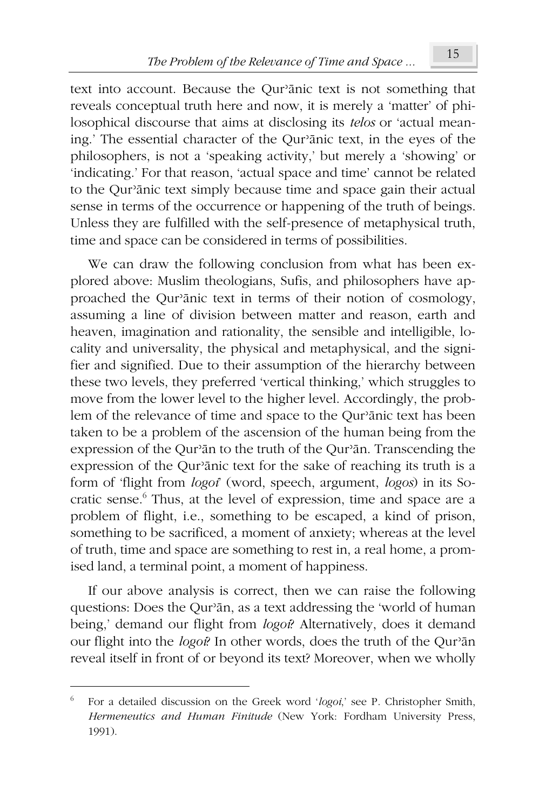text into account. Because the Qur'anic text is not something that reveals conceptual truth here and now, it is merely a 'matter' of philosophical discourse that aims at disclosing its *telos* or 'actual meaning.' The essential character of the Qur'anic text, in the eyes of the philosophers, is not a 'speaking activity,' but merely a 'showing' or 'indicating.' For that reason, 'actual space and time' cannot be related to the Qur'anic text simply because time and space gain their actual sense in terms of the occurrence or happening of the truth of beings. Unless they are fulfilled with the self-presence of metaphysical truth, time and space can be considered in terms of possibilities.

We can draw the following conclusion from what has been explored above: Muslim theologians, Sufis, and philosophers have approached the Qur'anic text in terms of their notion of cosmology, assuming a line of division between matter and reason, earth and heaven, imagination and rationality, the sensible and intelligible, locality and universality, the physical and metaphysical, and the signifier and signified. Due to their assumption of the hierarchy between these two levels, they preferred 'vertical thinking,' which struggles to move from the lower level to the higher level. Accordingly, the problem of the relevance of time and space to the Qur'anic text has been taken to be a problem of the ascension of the human being from the expression of the Our'an to the truth of the Our'an. Transcending the expression of the Qur'anic text for the sake of reaching its truth is a form of 'flight from *logoi*' (word, speech, argument, *logos*) in its Socratic sense.<sup>6</sup> Thus, at the level of expression, time and space are a problem of flight, i.e., something to be escaped, a kind of prison, something to be sacrificed, a moment of anxiety; whereas at the level of truth, time and space are something to rest in, a real home, a promised land, a terminal point, a moment of happiness.

If our above analysis is correct, then we can raise the following questions: Does the Qur'an, as a text addressing the 'world of human being,' demand our flight from logoi? Alternatively, does it demand our flight into the logo? In other words, does the truth of the Qur'an reveal itself in front of or beyond its text? Moreover, when we wholly

 $\sqrt{6}$ For a detailed discussion on the Greek word 'logoi,' see P. Christopher Smith, Hermeneutics and Human Finitude (New York: Fordham University Press, 1991).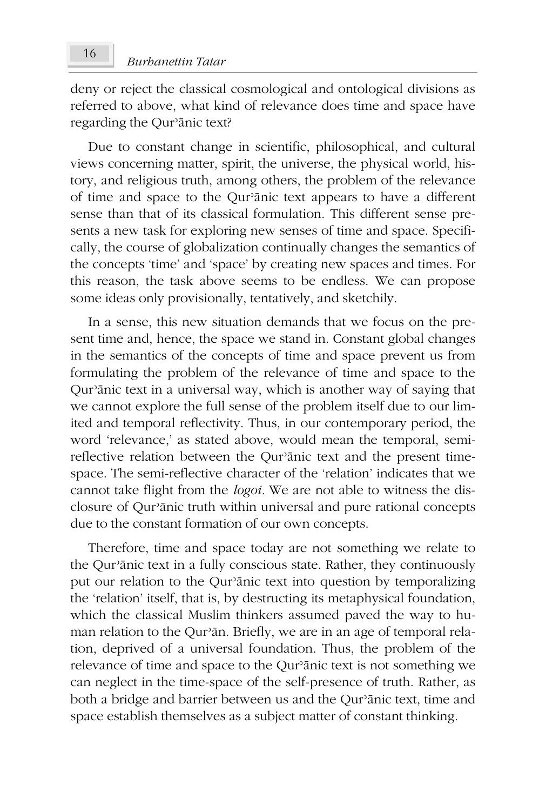deny or reject the classical cosmological and ontological divisions as referred to above, what kind of relevance does time and space have regarding the Our'ānic text?

Due to constant change in scientific, philosophical, and cultural views concerning matter, spirit, the universe, the physical world, history, and religious truth, among others, the problem of the relevance of time and space to the Qur'anic text appears to have a different sense than that of its classical formulation. This different sense presents a new task for exploring new senses of time and space. Specifically, the course of globalization continually changes the semantics of the concepts 'time' and 'space' by creating new spaces and times. For this reason, the task above seems to be endless. We can propose some ideas only provisionally, tentatively, and sketchily.

In a sense, this new situation demands that we focus on the present time and, hence, the space we stand in. Constant global changes in the semantics of the concepts of time and space prevent us from formulating the problem of the relevance of time and space to the Qur'anic text in a universal way, which is another way of saying that we cannot explore the full sense of the problem itself due to our limited and temporal reflectivity. Thus, in our contemporary period, the word 'relevance,' as stated above, would mean the temporal, semireflective relation between the Qur'anic text and the present timespace. The semi-reflective character of the 'relation' indicates that we cannot take flight from the *logoi*. We are not able to witness the disclosure of Qur'anic truth within universal and pure rational concepts due to the constant formation of our own concepts.

Therefore, time and space today are not something we relate to the Qur'anic text in a fully conscious state. Rather, they continuously put our relation to the Qur'anic text into question by temporalizing the 'relation' itself, that is, by destructing its metaphysical foundation, which the classical Muslim thinkers assumed paved the way to human relation to the Qur'ān. Briefly, we are in an age of temporal relation, deprived of a universal foundation. Thus, the problem of the relevance of time and space to the Qur'anic text is not something we can neglect in the time-space of the self-presence of truth. Rather, as both a bridge and barrier between us and the Qur'anic text, time and space establish themselves as a subject matter of constant thinking.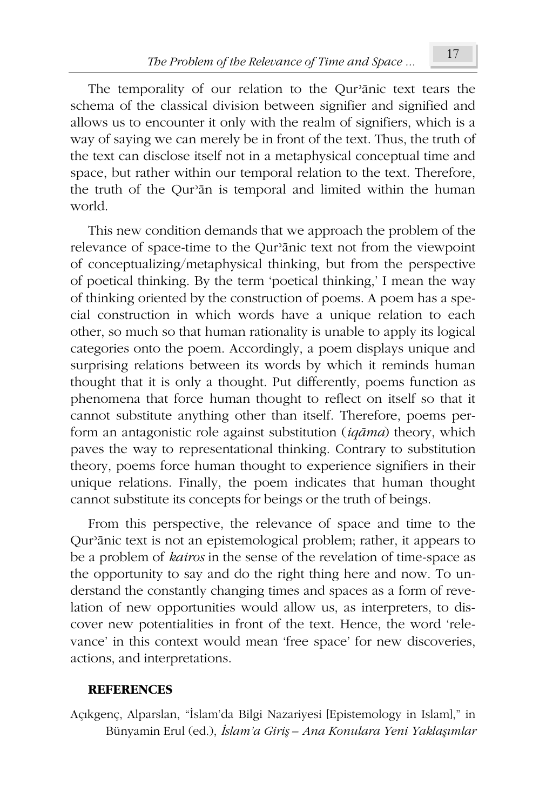The temporality of our relation to the Qur'anic text tears the schema of the classical division between signifier and signified and allows us to encounter it only with the realm of signifiers, which is a way of saying we can merely be in front of the text. Thus, the truth of the text can disclose itself not in a metaphysical conceptual time and space, but rather within our temporal relation to the text. Therefore, the truth of the Qur'an is temporal and limited within the human world.

This new condition demands that we approach the problem of the relevance of space-time to the Qur'anic text not from the viewpoint of conceptualizing/metaphysical thinking, but from the perspective of poetical thinking. By the term 'poetical thinking,' I mean the way of thinking oriented by the construction of poems. A poem has a special construction in which words have a unique relation to each other, so much so that human rationality is unable to apply its logical categories onto the poem. Accordingly, a poem displays unique and surprising relations between its words by which it reminds human thought that it is only a thought. Put differently, poems function as phenomena that force human thought to reflect on itself so that it cannot substitute anything other than itself. Therefore, poems perform an antagonistic role against substitution  $(iqāma)$  theory, which paves the way to representational thinking. Contrary to substitution theory, poems force human thought to experience signifiers in their unique relations. Finally, the poem indicates that human thought cannot substitute its concepts for beings or the truth of beings.

From this perspective, the relevance of space and time to the Qur'anic text is not an epistemological problem; rather, it appears to be a problem of *kairos* in the sense of the revelation of time-space as the opportunity to say and do the right thing here and now. To understand the constantly changing times and spaces as a form of revelation of new opportunities would allow us, as interpreters, to discover new potentialities in front of the text. Hence, the word 'relevance' in this context would mean 'free space' for new discoveries, actions, and interpretations.

## **REFERENCES**

Açıkgenç, Alparslan, "İslam'da Bilgi Nazariyesi [Epistemology in Islam]," in Bünyamin Erul (ed.), İslam'a Giriş - Ana Konulara Yeni Yaklaşımlar